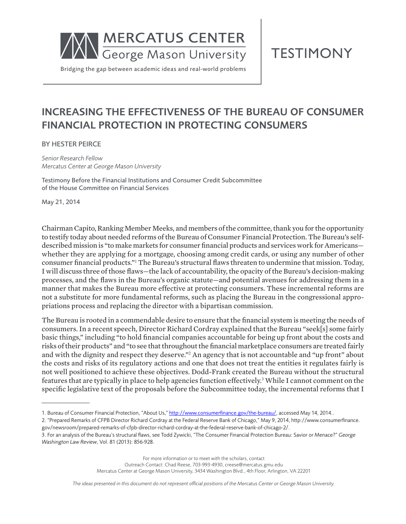

**TESTIMONY** 

# INCREASING THE EFFECTIVENESS OF THE BUREAU OF CONSUMER FINANCIAL PROTECTION IN PROTECTING CONSUMERS

BY HESTER PEIRCE

*Senior Research Fellow Mercatus Center at George Mason University*

Testimony Before the Financial Institutions and Consumer Credit Subcommittee of the House Committee on Financial Services

May 21, 2014

Chairman Capito, Ranking Member Meeks, and members of the committee, thank you for the opportunity to testify today about needed reforms of the Bureau of Consumer Financial Protection. The Bureau's selfdescribed mission is "to make markets for consumer financial products and services work for Americans whether they are applying for a mortgage, choosing among credit cards, or using any number of other consumer financial products."<sup>1</sup> The Bureau's structural flaws threaten to undermine that mission. Today, I will discuss three of those flaws—the lack of accountability, the opacity of the Bureau's decision-making processes, and the flaws in the Bureau's organic statute—and potential avenues for addressing them in a manner that makes the Bureau more effective at protecting consumers. These incremental reforms are not a substitute for more fundamental reforms, such as placing the Bureau in the congressional appropriations process and replacing the director with a bipartisan commission.

The Bureau is rooted in a commendable desire to ensure that the financial system is meeting the needs of consumers. In a recent speech, Director Richard Cordray explained that the Bureau "seek[s] some fairly basic things," including "to hold financial companies accountable for being up front about the costs and risks of their products" and "to see that throughout the financial marketplace consumers are treated fairly and with the dignity and respect they deserve."<sup>2</sup> An agency that is not accountable and "up front" about the costs and risks of its regulatory actions and one that does not treat the entities it regulates fairly is not well positioned to achieve these objectives. Dodd-Frank created the Bureau without the structural features that are typically in place to help agencies function effectively.<sup>3</sup> While I cannot comment on the specific legislative text of the proposals before the Subcommittee today, the incremental reforms that I

2. "Prepared Remarks of CFPB Director Richard Cordray at the Federal Reserve Bank of Chicago," May 9, 2014, http://www.consumerfinance. gov/newsroom/prepared-remarks-of-cfpb-director-richard-cordray-at-the-federal-reserve-bank-of-chicago-2/.

3. For an analysis of the Bureau's structural flaws, see Todd Zywicki, "The Consumer Financial Protection Bureau: Savior or Menace?" *George Washington Law Review*, Vol. 81 (2013): 856-928.

> For more information or to meet with the scholars, contact Outreach Contact: Chad Reese, 703-993-4930, creese@mercatus.gmu.edu Mercatus Center at George Mason University, 3434 Washington Blvd., 4th Floor, Arlington, VA 22201

*The ideas presented in this document do not represent official positions of the Mercatus Center or George Mason University.*

<sup>1.</sup> Bureau of Consumer Financial Protection, "About Us," http://www.consumerfinance.gov/the-bureau/, accessed May 14, 2014..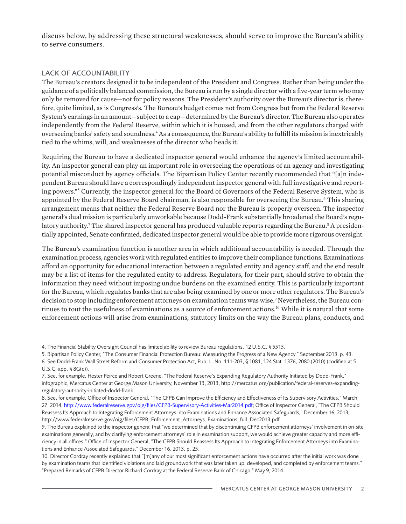discuss below, by addressing these structural weaknesses, should serve to improve the Bureau's ability to serve consumers.

## LACK OF ACCOUNTABILITY

The Bureau's creators designed it to be independent of the President and Congress. Rather than being under the guidance of a politically balanced commission, the Bureau is run by a single director with a five-year term who may only be removed for cause—not for policy reasons. The President's authority over the Bureau's director is, therefore, quite limited, as is Congress's. The Bureau's budget comes not from Congress but from the Federal Reserve System's earnings in an amount—subject to a cap—determined by the Bureau's director. The Bureau also operates independently from the Federal Reserve, within which it is housed, and from the other regulators charged with overseeing banks' safety and soundness.<sup>4</sup> As a consequence, the Bureau's ability to fulfill its mission is inextricably tied to the whims, will, and weaknesses of the director who heads it.

Requiring the Bureau to have a dedicated inspector general would enhance the agency's limited accountability. An inspector general can play an important role in overseeing the operations of an agency and investigating potential misconduct by agency officials. The Bipartisan Policy Center recently recommended that "[a]n independent Bureau should have a correspondingly independent inspector general with full investigative and reporting powers."<sup>5</sup> Currently, the inspector general for the Board of Governors of the Federal Reserve System, who is appointed by the Federal Reserve Board chairman, is also responsible for overseeing the Bureau.<sup>6</sup> This sharing arrangement means that neither the Federal Reserve Board nor the Bureau is properly overseen. The inspector general's dual mission is particularly unworkable because Dodd-Frank substantially broadened the Board's regulatory authority.<sup>7</sup> The shared inspector general has produced valuable reports regarding the Bureau.<sup>8</sup> A presidentially appointed, Senate confirmed, dedicated inspector general would be able to provide more rigorous oversight.

The Bureau's examination function is another area in which additional accountability is needed. Through the examination process, agencies work with regulated entities to improve their compliance functions. Examinations afford an opportunity for educational interaction between a regulated entity and agency staff, and the end result may be a list of items for the regulated entity to address. Regulators, for their part, should strive to obtain the information they need without imposing undue burdens on the examined entity. This is particularly important for the Bureau, which regulates banks that are also being examined by one or more other regulators. The Bureau's decision to stop including enforcement attorneys on examination teams was wise.<sup>9</sup> Nevertheless, the Bureau continues to tout the usefulness of examinations as a source of enforcement actions.<sup>10</sup> While it is natural that some enforcement actions will arise from examinations, statutory limits on the way the Bureau plans, conducts, and

<sup>4.</sup> The Financial Stability Oversight Council has limited ability to review Bureau regulations. 12 U.S.C. § 5513.

<sup>5.</sup> Bipartisan Policy Center, "The Consumer Financial Protection Bureau: Measuring the Progress of a New Agency," September 2013, p. 43. 6. See Dodd-Frank Wall Street Reform and Consumer Protection Act, Pub. L. No. 111-203, § 1081, 124 Stat. 1376, 2080 (2010) (codified at 5 U.S.C. app. § 8G(c)).

<sup>7.</sup> See, for example, Hester Peirce and Robert Greene, "The Federal Reserve's Expanding Regulatory Authority Initiated by Dodd-Frank," infographic, Mercatus Center at George Mason University, November 13, 2013, http://mercatus.org/publication/federal-reserves-expandingregulatory-authority-initiated-dodd-frank.

<sup>8.</sup> See, for example, Office of Inspector General, "The CFPB Can Improve the Efficiency and Effectiveness of Its Supervisory Activities," March 27, 2014, http://www.federalreserve.gov/oig/files/CFPB-Supervisory-Activities-Mar2014.pdf; Office of Inspector General, "The CFPB Should Reassess Its Approach to Integrating Enforcement Attorneys into Examinations and Enhance Associated Safeguards," December 16, 2013, http://www.federalreserve.gov/oig/files/CFPB\_Enforcement\_Attorneys\_Examinations\_full\_Dec2013.pdf.

<sup>9.</sup> The Bureau explained to the inspector general that "we determined that by discontinuing CFPB enforcement attorneys' involvement in on-site examinations generally, and by clarifying enforcement attorneys' role in examination support, we would achieve greater capacity and more efficiency in all offices." Office of Inspector General, "The CFPB Should Reassess Its Approach to Integrating Enforcement Attorneys into Examinations and Enhance Associated Safeguards," December 16, 2013, p. 25.

<sup>10.</sup> Director Cordray recently explained that "[m]any of our most significant enforcement actions have occurred after the initial work was done by examination teams that identified violations and laid groundwork that was later taken up, developed, and completed by enforcement teams." "Prepared Remarks of CFPB Director Richard Cordray at the Federal Reserve Bank of Chicago," May 9, 2014.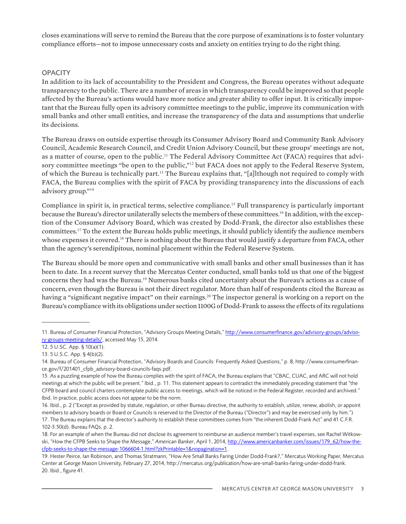closes examinations will serve to remind the Bureau that the core purpose of examinations is to foster voluntary compliance efforts—not to impose unnecessary costs and anxiety on entities trying to do the right thing.

## **OPACITY**

In addition to its lack of accountability to the President and Congress, the Bureau operates without adequate transparency to the public. There are a number of areas in which transparency could be improved so that people affected by the Bureau's actions would have more notice and greater ability to offer input. It is critically important that the Bureau fully open its advisory committee meetings to the public, improve its communication with small banks and other small entities, and increase the transparency of the data and assumptions that underlie its decisions.

The Bureau draws on outside expertise through its Consumer Advisory Board and Community Bank Advisory Council, Academic Research Council, and Credit Union Advisory Council, but these groups' meetings are not, as a matter of course, open to the public.<sup>11</sup> The Federal Advisory Committee Act (FACA) requires that advisory committee meetings "be open to the public,"<sup>12</sup> but FACA does not apply to the Federal Reserve System, of which the Bureau is technically part.<sup>13</sup> The Bureau explains that, "[a]lthough not required to comply with FACA, the Bureau complies with the spirit of FACA by providing transparency into the discussions of each advisory group."<sup>14</sup>

Compliance in spirit is, in practical terms, selective compliance.<sup>15</sup> Full transparency is particularly important because the Bureau's director unilaterally selects the members of these committees.<sup>16</sup> In addition, with the exception of the Consumer Advisory Board, which was created by Dodd-Frank, the director also establishes these committees.<sup>17</sup> To the extent the Bureau holds public meetings, it should publicly identify the audience members whose expenses it covered.<sup>18</sup> There is nothing about the Bureau that would justify a departure from FACA, other than the agency's serendipitous, nominal placement within the Federal Reserve System.

The Bureau should be more open and communicative with small banks and other small businesses than it has been to date. In a recent survey that the Mercatus Center conducted, small banks told us that one of the biggest concerns they had was the Bureau.<sup>19</sup> Numerous banks cited uncertainty about the Bureau's actions as a cause of concern, even though the Bureau is not their direct regulator. More than half of respondents cited the Bureau as having a "significant negative impact" on their earnings.<sup>20</sup> The inspector general is working on a report on the Bureau's compliance with its obligations under section 1100G of Dodd-Frank to assess the effects of its regulations

<sup>11.</sup> Bureau of Consumer Financial Protection, "Advisory Groups Meeting Details," http://www.consumerfinance.gov/advisory-groups/advisory-groups-meeting-details/, accessed May 15, 2014.

<sup>12. 5</sup> U.SC. App. § 10(a)(1).

<sup>13. 5</sup> U.S.C. App. § 4(b)(2).

<sup>14.</sup> Bureau of Consumer Financial Protection, "Advisory Boards and Councils: Frequently Asked Questions," p. 8, http://www.consumerfinance.gov/f/201401\_cfpb\_advisory-board-councils-faqs.pdf.

<sup>15.</sup> As a puzzling example of how the Bureau complies with the spirit of FACA, the Bureau explains that "CBAC, CUAC, and ARC will not hold meetings at which the public will be present." Ibid., p. 11. This statement appears to contradict the immediately preceding statement that "the CFPB board and council charters contemplate public access to meetings, which will be noticed in the Federal Register, recorded and archived." Ibid. In practice, public access does not appear to be the norm.

<sup>16.</sup> Ibid., p. 2 ("Except as provided by statute, regulation, or other Bureau directive, the authority to establish, utilize, renew, abolish, or appoint members to advisory boards or Board or Councils is reserved to the Director of the Bureau ("Director") and may be exercised only by him.") 17. The Bureau explains that the director's authority to establish these committees comes from "the inherent Dodd-Frank Act" and 41 C.F.R. 102-3.50(d). Bureau FAQs, p. 2.

<sup>18.</sup> For an example of when the Bureau did not disclose its agreement to reimburse an audience member's travel expenses, see Rachel Witkowski, "How the CFPB Seeks to Shape the Message," *American Banker*, April 1, 2014, http://www.americanbanker.com/issues/179\_62/how-thecfpb-seeks-to-shape-the-message-1066604-1.html?zkPrintable=1&nopagination=1.

<sup>19.</sup> Hester Peirce, Ian Robinson, and Thomas Stratmann, "How Are Small Banks Faring Under Dodd-Frank?," Mercatus Working Paper, Mercatus Center at George Mason University, February 27, 2014, http://mercatus.org/publication/how-are-small-banks-faring-under-dodd-frank. 20. Ibid., figure 41.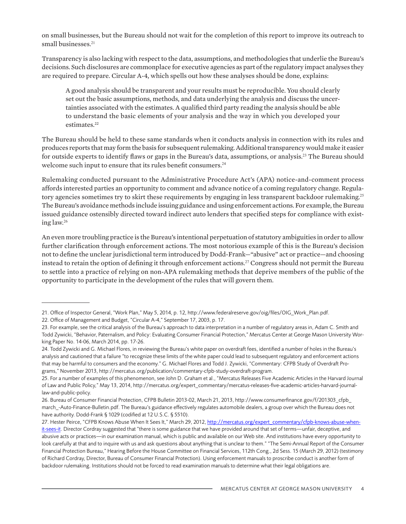on small businesses, but the Bureau should not wait for the completion of this report to improve its outreach to small businesses.<sup>21</sup>

Transparency is also lacking with respect to the data, assumptions, and methodologies that underlie the Bureau's decisions. Such disclosures are commonplace for executive agencies as part of the regulatory impact analyses they are required to prepare. Circular A-4, which spells out how these analyses should be done, explains:

A good analysis should be transparent and your results must be reproducible. You should clearly set out the basic assumptions, methods, and data underlying the analysis and discuss the uncertainties associated with the estimates. A qualified third party reading the analysis should be able to understand the basic elements of your analysis and the way in which you developed your estimates.22

The Bureau should be held to these same standards when it conducts analysis in connection with its rules and produces reports that may form the basis for subsequent rulemaking. Additional transparency would make it easier for outside experts to identify flaws or gaps in the Bureau's data, assumptions, or analysis.<sup>23</sup> The Bureau should welcome such input to ensure that its rules benefit consumers.<sup>24</sup>

Rulemaking conducted pursuant to the Administrative Procedure Act's (APA) notice-and-comment process affords interested parties an opportunity to comment and advance notice of a coming regulatory change. Regulatory agencies sometimes try to skirt these requirements by engaging in less transparent backdoor rulemaking.<sup>25</sup> The Bureau's avoidance methods include issuing guidance and using enforcement actions. For example, the Bureau issued guidance ostensibly directed toward indirect auto lenders that specified steps for compliance with existing law.<sup>26</sup>

An even more troubling practice is the Bureau's intentional perpetuation of statutory ambiguities in order to allow further clarification through enforcement actions. The most notorious example of this is the Bureau's decision not to define the unclear jurisdictional term introduced by Dodd-Frank—"abusive" act or practice—and choosing instead to retain the option of defining it through enforcement actions.<sup>27</sup> Congress should not permit the Bureau to settle into a practice of relying on non-APA rulemaking methods that deprive members of the public of the opportunity to participate in the development of the rules that will govern them.

27. Hester Peirce, "CFPB Knows Abuse When It Sees It," March 29, 2012, http://mercatus.org/expert\_commentary/cfpb-knows-abuse-whenit-sees-it. Director Cordray suggested that "there is some guidance that we have provided around that set of terms—unfair, deceptive, and abusive acts or practices—in our examination manual, which is public and available on our Web site. And institutions have every opportunity to look carefully at that and to inquire with us and ask questions about anything that is unclear to them." "The Semi-Annual Report of the Consumer Financial Protection Bureau," Hearing Before the House Committee on Financial Services, 112th Cong., 2d Sess. 15 (March 29, 2012) (testimony of Richard Cordray, Director, Bureau of Consumer Financial Protection). Using enforcement manuals to proscribe conduct is another form of backdoor rulemaking. Institutions should not be forced to read examination manuals to determine what their legal obligations are.

<sup>21.</sup> Office of Inspector General, "Work Plan," May 5, 2014, p. 12, http://www.federalreserve.gov/oig/files/OIG\_Work\_Plan.pdf.

<sup>22.</sup> Office of Management and Budget, "Circular A-4," September 17, 2003, p. 17.

<sup>23.</sup> For example, see the critical analysis of the Bureau's approach to data interpretation in a number of regulatory areas in, Adam C. Smith and Todd Zywicki, "Behavior, Paternalism, and Policy: Evaluating Consumer Financial Protection," Mercatus Center at George Mason University Working Paper No. 14-06, March 2014, pp. 17-26.

<sup>24.</sup> Todd Zywicki and G. Michael Flores, in reviewing the Bureau's white paper on overdraft fees, identified a number of holes in the Bureau's analysis and cautioned that a failure "to recognize these limits of the white paper could lead to subsequent regulatory and enforcement actions that may be harmful to consumers and the economy." G. Michael Flores and Todd J. Zywicki, "Commentary: CFPB Study of Overdraft Programs," November 2013, http://mercatus.org/publication/commentary-cfpb-study-overdraft-program.

<sup>25.</sup> For a number of examples of this phenomenon, see John D. Graham et al., "Mercatus Releases Five Academic Articles in the Harvard Journal of Law and Public Policy," May 13, 2014, http://mercatus.org/expert\_commentary/mercatus-releases-five-academic-articles-harvard-journallaw-and-public-policy.

<sup>26.</sup> Bureau of Consumer Financial Protection, CFPB Bulletin 2013-02, March 21, 2013, http://www.consumerfinance.gov/f/201303\_cfpb\_ march\_-Auto-Finance-Bulletin.pdf. The Bureau's guidance effectively regulates automobile dealers, a group over which the Bureau does not have authority. Dodd-Frank § 1029 (codified at 12 U.S.C. § 5510).